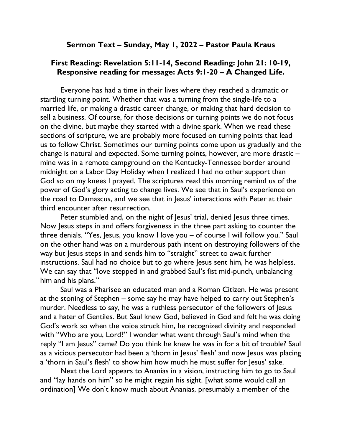## Sermon Text – Sunday, May 1, 2022 – Pastor Paula Kraus

## First Reading: Revelation 5:11-14, Second Reading: John 21: 10-19, Responsive reading for message: Acts 9:1-20 – A Changed Life.

Everyone has had a time in their lives where they reached a dramatic or startling turning point. Whether that was a turning from the single-life to a married life, or making a drastic career change, or making that hard decision to sell a business. Of course, for those decisions or turning points we do not focus on the divine, but maybe they started with a divine spark. When we read these sections of scripture, we are probably more focused on turning points that lead us to follow Christ. Sometimes our turning points come upon us gradually and the change is natural and expected. Some turning points, however, are more drastic – mine was in a remote campground on the Kentucky-Tennessee border around midnight on a Labor Day Holiday when I realized I had no other support than God so on my knees I prayed. The scriptures read this morning remind us of the power of God's glory acting to change lives. We see that in Saul's experience on the road to Damascus, and we see that in Jesus' interactions with Peter at their third encounter after resurrection.

Peter stumbled and, on the night of Jesus' trial, denied Jesus three times. Now Jesus steps in and offers forgiveness in the three part asking to counter the three denials. "Yes, Jesus, you know I love you – of course I will follow you." Saul on the other hand was on a murderous path intent on destroying followers of the way but Jesus steps in and sends him to "straight" street to await further instructions. Saul had no choice but to go where Jesus sent him, he was helpless. We can say that "love stepped in and grabbed Saul's fist mid-punch, unbalancing him and his plans."

Saul was a Pharisee an educated man and a Roman Citizen. He was present at the stoning of Stephen – some say he may have helped to carry out Stephen's murder. Needless to say, he was a ruthless persecutor of the followers of Jesus and a hater of Gentiles. But Saul knew God, believed in God and felt he was doing God's work so when the voice struck him, he recognized divinity and responded with "Who are you, Lord?" I wonder what went through Saul's mind when the reply "I am Jesus" came? Do you think he knew he was in for a bit of trouble? Saul as a vicious persecutor had been a 'thorn in Jesus' flesh' and now Jesus was placing a 'thorn in Saul's flesh' to show him how much he must suffer for Jesus' sake.

Next the Lord appears to Ananias in a vision, instructing him to go to Saul and "lay hands on him" so he might regain his sight. [what some would call an ordination] We don't know much about Ananias, presumably a member of the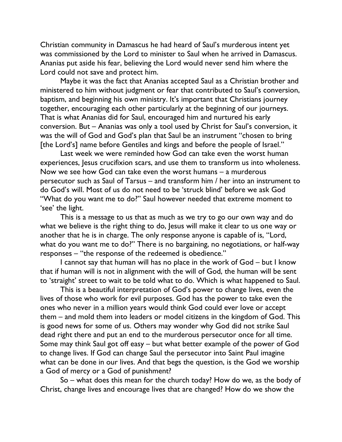Christian community in Damascus he had heard of Saul's murderous intent yet was commissioned by the Lord to minister to Saul when he arrived in Damascus. Ananias put aside his fear, believing the Lord would never send him where the Lord could not save and protect him.

Maybe it was the fact that Ananias accepted Saul as a Christian brother and ministered to him without judgment or fear that contributed to Saul's conversion, baptism, and beginning his own ministry. It's important that Christians journey together, encouraging each other particularly at the beginning of our journeys. That is what Ananias did for Saul, encouraged him and nurtured his early conversion. But – Ananias was only a tool used by Christ for Saul's conversion, it was the will of God and God's plan that Saul be an instrument "chosen to bring [the Lord's] name before Gentiles and kings and before the people of Israel."

Last week we were reminded how God can take even the worst human experiences, Jesus crucifixion scars, and use them to transform us into wholeness. Now we see how God can take even the worst humans – a murderous persecutor such as Saul of Tarsus – and transform him / her into an instrument to do God's will. Most of us do not need to be 'struck blind' before we ask God "What do you want me to do?" Saul however needed that extreme moment to 'see' the light.

This is a message to us that as much as we try to go our own way and do what we believe is the right thing to do, Jesus will make it clear to us one way or another that he is in charge. The only response anyone is capable of is, "Lord, what do you want me to do?" There is no bargaining, no negotiations, or half-way responses – "the response of the redeemed is obedience."

I cannot say that human will has no place in the work of God – but I know that if human will is not in alignment with the will of God, the human will be sent to 'straight' street to wait to be told what to do. Which is what happened to Saul.

This is a beautiful interpretation of God's power to change lives, even the lives of those who work for evil purposes. God has the power to take even the ones who never in a million years would think God could ever love or accept them – and mold them into leaders or model citizens in the kingdom of God. This is good news for some of us. Others may wonder why God did not strike Saul dead right there and put an end to the murderous persecutor once for all time. Some may think Saul got off easy – but what better example of the power of God to change lives. If God can change Saul the persecutor into Saint Paul imagine what can be done in our lives. And that begs the question, is the God we worship a God of mercy or a God of punishment?

So – what does this mean for the church today? How do we, as the body of Christ, change lives and encourage lives that are changed? How do we show the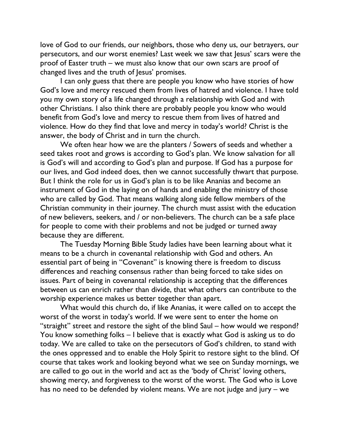love of God to our friends, our neighbors, those who deny us, our betrayers, our persecutors, and our worst enemies? Last week we saw that Jesus' scars were the proof of Easter truth – we must also know that our own scars are proof of changed lives and the truth of Jesus' promises.

I can only guess that there are people you know who have stories of how God's love and mercy rescued them from lives of hatred and violence. I have told you my own story of a life changed through a relationship with God and with other Christians. I also think there are probably people you know who would benefit from God's love and mercy to rescue them from lives of hatred and violence. How do they find that love and mercy in today's world? Christ is the answer, the body of Christ and in turn the church.

We often hear how we are the planters / Sowers of seeds and whether a seed takes root and grows is according to God's plan. We know salvation for all is God's will and according to God's plan and purpose. If God has a purpose for our lives, and God indeed does, then we cannot successfully thwart that purpose. But I think the role for us in God's plan is to be like Ananias and become an instrument of God in the laying on of hands and enabling the ministry of those who are called by God. That means walking along side fellow members of the Christian community in their journey. The church must assist with the education of new believers, seekers, and / or non-believers. The church can be a safe place for people to come with their problems and not be judged or turned away because they are different.

The Tuesday Morning Bible Study ladies have been learning about what it means to be a church in covenantal relationship with God and others. An essential part of being in "Covenant" is knowing there is freedom to discuss differences and reaching consensus rather than being forced to take sides on issues. Part of being in covenantal relationship is accepting that the differences between us can enrich rather than divide, that what others can contribute to the worship experience makes us better together than apart.

What would this church do, if like Ananias, it were called on to accept the worst of the worst in today's world. If we were sent to enter the home on "straight" street and restore the sight of the blind Saul – how would we respond? You know something folks – I believe that is exactly what God is asking us to do today. We are called to take on the persecutors of God's children, to stand with the ones oppressed and to enable the Holy Spirit to restore sight to the blind. Of course that takes work and looking beyond what we see on Sunday mornings, we are called to go out in the world and act as the 'body of Christ' loving others, showing mercy, and forgiveness to the worst of the worst. The God who is Love has no need to be defended by violent means. We are not judge and jury – we